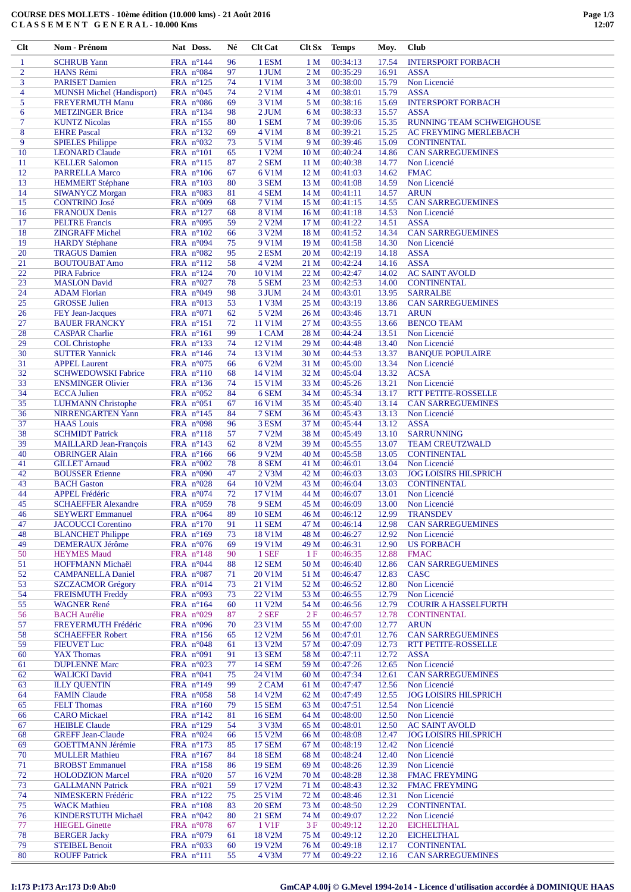| $Cl$ t         | <b>Nom - Prénom</b>              | Nat Doss.          | Né | <b>Clt Cat</b>      | Clt Sx          | <b>Temps</b> | Moy.  | <b>Club</b>                  |
|----------------|----------------------------------|--------------------|----|---------------------|-----------------|--------------|-------|------------------------------|
| $\mathbf{1}$   | <b>SCHRUB</b> Yann               | FRA n°144          | 96 | 1 ESM               | 1 <sub>M</sub>  | 00:34:13     | 17.54 | <b>INTERSPORT FORBACH</b>    |
| $\overline{c}$ | <b>HANS Rémi</b>                 | FRA $n^{\circ}084$ | 97 | 1 JUM               | 2 <sub>M</sub>  | 00:35:29     | 16.91 | <b>ASSA</b>                  |
| 3              | <b>PARISET Damien</b>            | FRA n°125          | 74 | 1 V1M               | 3 M             | 00:38:00     | 15.79 | Non Licencié                 |
|                |                                  |                    |    |                     |                 |              |       |                              |
| 4              | <b>MUNSH Michel (Handisport)</b> | FRA $n^{\circ}045$ | 74 | 2 V1M               | 4 M             | 00:38:01     | 15.79 | <b>ASSA</b>                  |
| 5              | <b>FREYERMUTH Manu</b>           | FRA $n^{\circ}086$ | 69 | 3 V1M               | 5 M             | 00:38:16     | 15.69 | <b>INTERSPORT FORBACH</b>    |
| 6              | <b>METZINGER Brice</b>           | FRA $n^{\circ}134$ | 98 | 2 JUM               | 6 M             | 00:38:33     | 15.57 | <b>ASSA</b>                  |
| 7              | <b>KUNTZ Nicolas</b>             | FRA $n^{\circ}155$ | 80 | 1 SEM               | 7 M             | 00:39:06     | 15.35 | RUNNING TEAM SCHWEIGHOUSE    |
| 8              | <b>EHRE</b> Pascal               | FRA $n^{\circ}132$ | 69 | 4 V1M               | 8 M             | 00:39:21     | 15.25 | AC FREYMING MERLEBACH        |
| 9              | <b>SPIELES Philippe</b>          | FRA $n^{\circ}032$ | 73 | 5 V1M               | 9 M             | 00:39:46     | 15.09 | <b>CONTINENTAL</b>           |
| 10             | <b>LEONARD Claude</b>            | FRA $n^{\circ}101$ | 65 | 1 V2M               | 10 <sub>M</sub> | 00:40:24     | 14.86 | <b>CAN SARREGUEMINES</b>     |
| 11             | <b>KELLER Salomon</b>            | FRA n°115          | 87 | 2 SEM               | 11 <sub>M</sub> | 00:40:38     | 14.77 | Non Licencié                 |
| 12             | <b>PARRELLA Marco</b>            | FRA $n^{\circ}106$ | 67 | 6 V1M               | 12 <sub>M</sub> | 00:41:03     | 14.62 | <b>FMAC</b>                  |
| 13             | <b>HEMMERT Stéphane</b>          | FRA $n^{\circ}103$ | 80 | 3 SEM               | 13 <sub>M</sub> | 00:41:08     | 14.59 | Non Licencié                 |
|                |                                  |                    |    |                     |                 |              |       |                              |
| 14             | <b>SIWANYCZ Morgan</b>           | FRA $n^{\circ}083$ | 81 | 4 SEM               | 14 M            | 00:41:11     | 14.57 | <b>ARUN</b>                  |
| 15             | <b>CONTRINO José</b>             | FRA $n°009$        | 68 | 7 V1M               | 15 M            | 00:41:15     | 14.55 | <b>CAN SARREGUEMINES</b>     |
| 16             | <b>FRANOUX Denis</b>             | FRA $n^{\circ}127$ | 68 | <b>8 V1M</b>        | 16 <sub>M</sub> | 00:41:18     | 14.53 | Non Licencié                 |
| 17             | <b>PELTRE</b> Francis            | FRA $n^{\circ}095$ | 59 | 2 V2M               | 17 M            | 00:41:22     | 14.51 | <b>ASSA</b>                  |
| 18             | <b>ZINGRAFF Michel</b>           | FRA $n^{\circ}102$ | 66 | 3 V2M               | 18 <sub>M</sub> | 00:41:52     | 14.34 | <b>CAN SARREGUEMINES</b>     |
| 19             | <b>HARDY Stéphane</b>            | FRA $n^{\circ}094$ | 75 | 9 V1M               | 19 <sub>M</sub> | 00:41:58     | 14.30 | Non Licencié                 |
| 20             | <b>TRAGUS Damien</b>             | FRA $n^{\circ}082$ | 95 | 2 ESM               | 20 <sub>M</sub> | 00:42:19     | 14.18 | <b>ASSA</b>                  |
| 21             | <b>BOUTOUBAT Amo</b>             | FRA $n^{\circ}112$ | 58 | 4 V2M               | 21 M            | 00:42:24     | 14.16 | <b>ASSA</b>                  |
| 22             | <b>PIRA Fabrice</b>              | FRA $n^{\circ}124$ | 70 | 10 V1M              | 22 M            | 00:42:47     | 14.02 | <b>AC SAINT AVOLD</b>        |
| 23             | <b>MASLON</b> David              | FRA $n^{\circ}027$ | 78 | 5 SEM               | 23 M            | 00:42:53     | 14.00 | <b>CONTINENTAL</b>           |
| 24             |                                  | FRA $n^{\circ}049$ | 98 |                     |                 |              |       |                              |
|                | <b>ADAM Florian</b>              |                    |    | 3 JUM               | 24 M            | 00:43:01     | 13.95 | <b>SARRALBE</b>              |
| 25             | <b>GROSSE Julien</b>             | FRA $n^{\circ}013$ | 53 | $1$ V $3M$          | 25 M            | 00:43:19     | 13.86 | <b>CAN SARREGUEMINES</b>     |
| 26             | FEY Jean-Jacques                 | FRA $n^{\circ}071$ | 62 | 5 V2M               | 26 M            | 00:43:46     | 13.71 | <b>ARUN</b>                  |
| 27             | <b>BAUER FRANCKY</b>             | FRA n°151          | 72 | 11 V1M              | 27 M            | 00:43:55     | 13.66 | <b>BENCO TEAM</b>            |
| 28             | <b>CASPAR Charlie</b>            | FRA $n^{\circ}161$ | 99 | 1 CAM               | 28 M            | 00:44:24     | 13.51 | Non Licencié                 |
| 29             | <b>COL Christophe</b>            | FRA $n^{\circ}133$ | 74 | 12 V1M              | 29 M            | 00:44:48     | 13.40 | Non Licencié                 |
| 30             | <b>SUTTER Yannick</b>            | FRA $n^{\circ}146$ | 74 | 13 V1M              | 30 M            | 00:44:53     | 13.37 | <b>BANQUE POPULAIRE</b>      |
| 31             | <b>APPEL Laurent</b>             | FRA $n^{\circ}075$ | 66 | 6 V <sub>2</sub> M  | 31 M            | 00:45:00     | 13.34 | Non Licencié                 |
| 32             | <b>SCHWEDOWSKI Fabrice</b>       | FRA n°110          | 68 | 14 V1M              | 32 M            | 00:45:04     | 13.32 | <b>ACSA</b>                  |
| 33             | <b>ENSMINGER Olivier</b>         | FRA $n^{\circ}136$ | 74 | 15 V1M              | 33 M            | 00:45:26     | 13.21 | Non Licencié                 |
| 34             | <b>ECCA</b> Julien               | FRA $n^{\circ}052$ | 84 | 6 SEM               | 34 M            | 00:45:34     | 13.17 | <b>RTT PETITE-ROSSELLE</b>   |
|                |                                  |                    |    |                     |                 |              |       |                              |
| 35             | <b>LUHMANN</b> Christophe        | FRA $n^{\circ}051$ | 67 | 16 V1M              | 35 M            | 00:45:40     | 13.14 | <b>CAN SARREGUEMINES</b>     |
| 36             | <b>NIRRENGARTEN Yann</b>         | FRA $n^{\circ}145$ | 84 | 7 SEM               | 36 M            | 00:45:43     | 13.13 | Non Licencié                 |
| 37             | <b>HAAS</b> Louis                | FRA $n°098$        | 96 | 3 ESM               | 37 M            | 00:45:44     | 13.12 | <b>ASSA</b>                  |
| 38             | <b>SCHMIDT Patrick</b>           | FRA $n^{\circ}118$ | 57 | 7 V2M               | 38 M            | 00:45:49     | 13.10 | <b>SARRUNNING</b>            |
| 39             | <b>MAILLARD Jean-François</b>    | FRA $n^{\circ}143$ | 62 | 8 V2M               | 39 M            | 00:45:55     | 13.07 | <b>TEAM CREUTZWALD</b>       |
| 40             | <b>OBRINGER Alain</b>            | FRA $n^{\circ}166$ | 66 | 9 V <sub>2</sub> M  | 40 M            | 00:45:58     | 13.05 | <b>CONTINENTAL</b>           |
| 41             | <b>GILLET</b> Arnaud             | FRA $n^{\circ}002$ | 78 | 8 SEM               | 41 M            | 00:46:01     | 13.04 | Non Licencié                 |
| 42             | <b>BOUSSER Etienne</b>           | FRA $n°090$        | 47 | 2 V3M               | 42 M            | 00:46:03     | 13.03 | <b>JOG LOISIRS HILSPRICH</b> |
| 43             | <b>BACH</b> Gaston               | FRA $n^{\circ}028$ | 64 | 10 V <sub>2</sub> M | 43 M            | 00:46:04     | 13.03 | <b>CONTINENTAL</b>           |
| 44             | <b>APPEL Frédéric</b>            | FRA $n^{\circ}074$ | 72 | 17 V1M              | 44 M            | 00:46:07     | 13.01 | Non Licencié                 |
| 45             | <b>SCHAEFFER Alexandre</b>       | FRA $n^{\circ}059$ | 78 | 9 SEM               | 45 M            | 00:46:09     | 13.00 | Non Licencié                 |
| 46             | <b>SEYWERT Emmanuel</b>          | FRA $n^{\circ}064$ | 89 | <b>10 SEM</b>       | 46 M            | 00:46:12     | 12.99 | <b>TRANSDEV</b>              |
|                |                                  |                    |    |                     |                 |              |       | <b>CAN SARREGUEMINES</b>     |
| 47             | <b>JACOUCCI</b> Corentino        | FRA $n^{\circ}170$ | 91 | <b>11 SEM</b>       | 47 M            | 00:46:14     | 12.98 |                              |
| 48             | <b>BLANCHET</b> Philippe         | FRA n°169          | 73 | 18 V1M              | 48 M            | 00:46:27     | 12.92 | Non Licencié                 |
| 49             | <b>DEMERAUX Jérôme</b>           | FRA $n^{\circ}076$ | 69 | 19 V1M              | 49 M            | 00:46:31     | 12.90 | <b>US FORBACH</b>            |
| 50             | <b>HEYMES</b> Maud               | FRA n°148          | 90 | 1 SEF               | 1F              | 00:46:35     | 12.88 | <b>FMAC</b>                  |
| 51             | HOFFMANN Michaël                 | FRA $n^{\circ}044$ | 88 | <b>12 SEM</b>       | 50 M            | 00:46:40     | 12.86 | <b>CAN SARREGUEMINES</b>     |
| 52             | <b>CAMPANELLA Daniel</b>         | FRA $n^{\circ}087$ | 71 | 20 V1M              | 51 M            | 00:46:47     | 12.83 | <b>CASC</b>                  |
| 53             | <b>SZCZACMOR Grégory</b>         | FRA n°014          | 73 | 21 V1M              | 52 M            | 00:46:52     | 12.80 | Non Licencié                 |
| 54             | <b>FREISMUTH Freddy</b>          | FRA $n^{\circ}093$ | 73 | 22 V1M              | 53 M            | 00:46:55     | 12.79 | Non Licencié                 |
| 55             | <b>WAGNER René</b>               | FRA $n^{\circ}164$ | 60 | 11 V2M              | 54 M            | 00:46:56     | 12.79 | <b>COURIR A HASSELFURTH</b>  |
| 56             | <b>BACH</b> Aurélie              | FRA n°029          | 87 | 2 SEF               | 2F              | 00:46:57     | 12.78 | <b>CONTINENTAL</b>           |
| 57             | FREYERMUTH Frédéric              | FRA $n^{\circ}096$ | 70 | 23 V1M              | 55 M            | 00:47:00     | 12.77 | <b>ARUN</b>                  |
| 58             | <b>SCHAEFFER Robert</b>          | FRA $n^{\circ}156$ | 65 | 12 V2M              | 56 M            | 00:47:01     | 12.76 | <b>CAN SARREGUEMINES</b>     |
| 59             |                                  | FRA n°048          |    | 13 V2M              |                 | 00:47:09     |       |                              |
|                | <b>FIEUVET Luc</b>               |                    | 61 |                     | 57 M            |              | 12.73 | <b>RTT PETITE-ROSSELLE</b>   |
| 60             | <b>YAX Thomas</b>                | FRA $n°091$        | 91 | <b>13 SEM</b>       | 58 M            | 00:47:11     | 12.72 | <b>ASSA</b>                  |
| 61             | <b>DUPLENNE Marc</b>             | FRA $n^{\circ}023$ | 77 | <b>14 SEM</b>       | 59 M            | 00:47:26     | 12.65 | Non Licencié                 |
| 62             | <b>WALICKI</b> David             | FRA $n^{\circ}041$ | 75 | 24 V1M              | 60 M            | 00:47:34     | 12.61 | <b>CAN SARREGUEMINES</b>     |
| 63             | <b>ILLY QUENTIN</b>              | FRA n°149          | 99 | 2 CAM               | 61 M            | 00:47:47     | 12.56 | Non Licencié                 |
| 64             | <b>FAMIN Claude</b>              | FRA $n^{\circ}058$ | 58 | 14 V2M              | 62 M            | 00:47:49     | 12.55 | <b>JOG LOISIRS HILSPRICH</b> |
| 65             | <b>FELT</b> Thomas               | FRA $n^{\circ}160$ | 79 | <b>15 SEM</b>       | 63 M            | 00:47:51     | 12.54 | Non Licencié                 |
| 66             | <b>CARO</b> Mickael              | FRA $n^{\circ}142$ | 81 | <b>16 SEM</b>       | 64 M            | 00:48:00     | 12.50 | Non Licencié                 |
| 67             | <b>HEIBLE Claude</b>             | FRA n°129          | 54 | 3 V3M               | 65 M            | 00:48:01     | 12.50 | <b>AC SAINT AVOLD</b>        |
| 68             | <b>GREFF Jean-Claude</b>         | FRA $n^{\circ}024$ | 66 | 15 V2M              | 66 M            | 00:48:08     | 12.47 | <b>JOG LOISIRS HILSPRICH</b> |
| 69             | <b>GOETTMANN Jérémie</b>         | FRA $n^{\circ}173$ |    | <b>17 SEM</b>       | 67 M            | 00:48:19     | 12.42 | Non Licencié                 |
|                |                                  |                    | 85 |                     |                 |              |       |                              |
| 70             | <b>MULLER Mathieu</b>            | FRA n°167          | 84 | <b>18 SEM</b>       | 68 M            | 00:48:24     | 12.40 | Non Licencié                 |
| 71             | <b>BROBST</b> Emmanuel           | FRA $n^{\circ}158$ | 86 | <b>19 SEM</b>       | 69 M            | 00:48:26     | 12.39 | Non Licencié                 |
| 72             | <b>HOLODZION</b> Marcel          | FRA $n^{\circ}020$ | 57 | 16 V2M              | 70 M            | 00:48:28     | 12.38 | <b>FMAC FREYMING</b>         |
| 73             | <b>GALLMANN Patrick</b>          | FRA n°021          | 59 | 17 V2M              | 71 M            | 00:48:43     | 12.32 | <b>FMAC FREYMING</b>         |
| 74             | NIMESKERN Frédéric               | FRA $n^{\circ}122$ | 75 | 25 V1M              | 72 M            | 00:48:46     | 12.31 | Non Licencié                 |
| 75             | <b>WACK Mathieu</b>              | FRA $n^{\circ}108$ | 83 | <b>20 SEM</b>       | 73 M            | 00:48:50     | 12.29 | <b>CONTINENTAL</b>           |
| 76             | KINDERSTUTH Michaël              | FRA $n^{\circ}042$ | 80 | <b>21 SEM</b>       | 74 M            | 00:49:07     | 12.22 | Non Licencié                 |
| 77             | <b>HIEGEL Ginette</b>            | FRA $n^{\circ}078$ | 67 | 1 V1F               | 3F              | 00:49:12     | 12.20 | <b>EICHELTHAL</b>            |
| 78             | <b>BERGER Jacky</b>              | FRA $n^{\circ}079$ | 61 | 18 V2M              | 75 M            | 00:49:12     | 12.20 | <b>EICHELTHAL</b>            |
| 79             | <b>STEIBEL Benoit</b>            | FRA $n^{\circ}033$ | 60 | 19 V2M              | 76 M            | 00:49:18     | 12.17 | <b>CONTINENTAL</b>           |
|                |                                  |                    |    |                     |                 |              |       |                              |
| 80             | <b>ROUFF Patrick</b>             | FRA n°111          | 55 | 4 V3M               | 77 M            | 00:49:22     | 12.16 | <b>CAN SARREGUEMINES</b>     |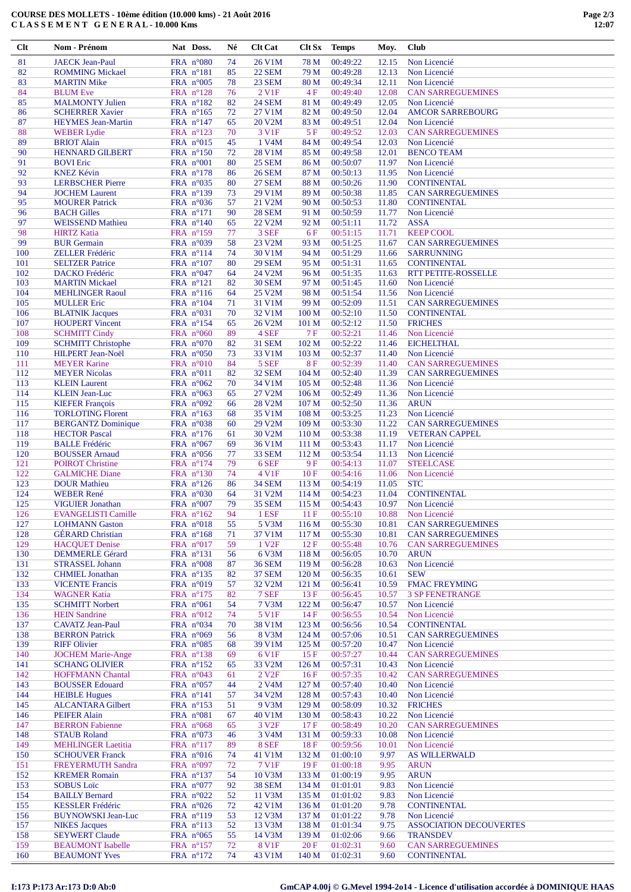## **COURSE DES MOLLETS - 10ème édition (10.000 kms) - 21 Août 2016 C L A S S E M E N T G E N E R A L - 10.000 Kms**

| Clt        | Nom - Prénom                                         | Nat Doss.                                | Né       | <b>Clt Cat</b>                 | Clt Sx                               | <b>Temps</b>         | Moy.           | Club                                                 |
|------------|------------------------------------------------------|------------------------------------------|----------|--------------------------------|--------------------------------------|----------------------|----------------|------------------------------------------------------|
| 81         | <b>JAECK Jean-Paul</b>                               | FRA $n^{\circ}080$                       | 74       | 26 V1M                         | 78 M                                 | 00:49:22             | 12.15          | Non Licencié                                         |
| 82         | <b>ROMMING Mickael</b>                               | FRA $n^{\circ}181$                       | 85       | <b>22 SEM</b>                  | 79 M                                 | 00:49:28             | 12.13          | Non Licencié                                         |
| 83         | <b>MARTIN Mike</b>                                   | FRA $n^{\circ}005$                       | 78       | 23 SEM                         | 80 M                                 | 00:49:34             | 12.11          | Non Licencié                                         |
| 84         | <b>BLUM</b> Eve                                      | FRA n°128                                | 76       | 2 V1F                          | 4F                                   | 00:49:40<br>00:49:49 | 12.08          | <b>CAN SARREGUEMINES</b><br>Non Licencié             |
| 85<br>86   | <b>MALMONTY Julien</b><br><b>SCHERRER Xavier</b>     | FRA $n^{\circ}182$<br>FRA n°165          | 82<br>72 | <b>24 SEM</b><br>27 V1M        | 81 M<br>82 M                         | 00:49:50             | 12.05<br>12.04 | <b>AMCOR SARREBOURG</b>                              |
| 87         | <b>HEYMES</b> Jean-Martin                            | FRA $n^{\circ}147$                       | 65       | 20 V2M                         | 83 M                                 | 00:49:51             | 12.04          | Non Licencié                                         |
| 88         | <b>WEBER Lydie</b>                                   | FRA n°123                                | 70       | 3 V1F                          | 5F                                   | 00:49:52             | 12.03          | <b>CAN SARREGUEMINES</b>                             |
| 89         | <b>BRIOT Alain</b>                                   | FRA n°015                                | 45       | 1 V4M                          | 84 M                                 | 00:49:54             | 12.03          | Non Licencié                                         |
| 90         | <b>HENNARD GILBERT</b>                               | FRA n°150                                | 72       | 28 V1M                         | 85 M                                 | 00:49:58             | 12.01          | <b>BENCO TEAM</b>                                    |
| 91         | <b>BOVI</b> Eric                                     | FRA n°001                                | 80       | <b>25 SEM</b>                  | 86 M                                 | 00:50:07             | 11.97          | Non Licencié                                         |
| 92<br>93   | <b>KNEZ Kévin</b><br><b>LERBSCHER Pierre</b>         | FRA $n^{\circ}178$<br>FRA $n^{\circ}035$ | 86<br>80 | <b>26 SEM</b><br><b>27 SEM</b> | 87 M<br>88 M                         | 00:50:13<br>00:50:26 | 11.95<br>11.90 | Non Licencié<br><b>CONTINENTAL</b>                   |
| 94         | <b>JOCHEM Laurent</b>                                | FRA n°139                                | 73       | 29 V1M                         | 89 M                                 | 00:50:38             | 11.85          | <b>CAN SARREGUEMINES</b>                             |
| 95         | <b>MOURER Patrick</b>                                | FRA $n^{\circ}036$                       | 57       | 21 V2M                         | 90 M                                 | 00:50:53             | 11.80          | <b>CONTINENTAL</b>                                   |
| 96         | <b>BACH</b> Gilles                                   | FRA $n^{\circ}171$                       | 90       | <b>28 SEM</b>                  | 91 M                                 | 00:50:59             | 11.77          | Non Licencié                                         |
| 97         | <b>WEISSEND Mathieu</b>                              | FRA $n^{\circ}140$                       | 65       | 22 V2M                         | 92 M                                 | 00:51:11             | 11.72          | <b>ASSA</b>                                          |
| 98         | <b>HIRTZ Katia</b>                                   | FRA n°159                                | 77       | 3 SEF                          | 6F                                   | 00:51:15             | 11.71          | <b>KEEP COOL</b>                                     |
| 99<br>100  | <b>BUR</b> Germain<br><b>ZELLER Frédéric</b>         | FRA $n^{\circ}039$<br>FRA $n^{\circ}114$ | 58<br>74 | 23 V2M<br>30 V1M               | 93 M<br>94 M                         | 00:51:25<br>00:51:29 | 11.67<br>11.66 | <b>CAN SARREGUEMINES</b><br><b>SARRUNNING</b>        |
| 101        | <b>SELTZER</b> Patrice                               | FRA n°107                                | 80       | <b>29 SEM</b>                  | 95 M                                 | 00:51:31             | 11.65          | <b>CONTINENTAL</b>                                   |
| 102        | <b>DACKO</b> Frédéric                                | FRA $n^{\circ}047$                       | 64       | 24 V2M                         | 96 M                                 | 00:51:35             | 11.63          | RTT PETITE-ROSSELLE                                  |
| 103        | <b>MARTIN Mickael</b>                                | FRA $n^{\circ}121$                       | 82       | <b>30 SEM</b>                  | 97 M                                 | 00:51:45             | 11.60          | Non Licencié                                         |
| 104        | <b>MEHLINGER Raoul</b>                               | FRA n°116                                | 64       | 25 V2M                         | 98 M                                 | 00:51:54             | 11.56          | Non Licencié                                         |
| 105        | <b>MULLER Eric</b>                                   | FRA $n^{\circ}104$                       | 71       | 31 V1M                         | 99 M                                 | 00:52:09             | 11.51          | <b>CAN SARREGUEMINES</b>                             |
| 106<br>107 | <b>BLATNIK Jacques</b><br><b>HOUPERT Vincent</b>     | FRA $n^{\circ}031$<br>FRA $n^{\circ}154$ | 70<br>65 | 32 V1M<br>26 V2M               | 100 <sub>M</sub><br>101 <sub>M</sub> | 00:52:10<br>00:52:12 | 11.50<br>11.50 | <b>CONTINENTAL</b><br><b>FRICHES</b>                 |
| 108        | <b>SCHMITT Cindy</b>                                 | FRA n°060                                | 89       | 4 SEF                          | 7F                                   | 00:52:21             | 11.46          | Non Licencié                                         |
| 109        | <b>SCHMITT Christophe</b>                            | FRA n°070                                | 82       | 31 SEM                         | 102 <sub>M</sub>                     | 00:52:22             | 11.46          | <b>EICHELTHAL</b>                                    |
| 110        | <b>HILPERT Jean-Noël</b>                             | FRA $n^{\circ}050$                       | 73       | 33 V1M                         | 103 <sub>M</sub>                     | 00:52:37             | 11.40          | Non Licencié                                         |
| 111        | <b>MEYER Karine</b>                                  | FRA $n^{\circ}010$                       | 84       | 5 SEF                          | <b>8F</b>                            | 00:52:39             | 11.40          | <b>CAN SARREGUEMINES</b>                             |
| 112        | <b>MEYER Nicolas</b>                                 | FRA $n^{\circ}011$                       | 82       | 32 SEM                         | 104 M                                | 00:52:40             | 11.39          | <b>CAN SARREGUEMINES</b>                             |
| 113<br>114 | <b>KLEIN Laurent</b>                                 | FRA $n^{\circ}062$                       | 70       | 34 V1M<br>27 V2M               | 105 M<br>106 M                       | 00:52:48<br>00:52:49 | 11.36          | Non Licencié                                         |
| 115        | <b>KLEIN Jean-Luc</b><br><b>KIEFER François</b>      | FRA $n^{\circ}063$<br>FRA n°092          | 65<br>66 | 28 V2M                         | 107 M                                | 00:52:50             | 11.36<br>11.36 | Non Licencié<br><b>ARUN</b>                          |
| 116        | <b>TORLOTING Florent</b>                             | FRA $n^{\circ}163$                       | 68       | 35 V1M                         | 108 <sub>M</sub>                     | 00:53:25             | 11.23          | Non Licencié                                         |
| 117        | <b>BERGANTZ Dominique</b>                            | FRA $n^{\circ}038$                       | 60       | 29 V2M                         | 109 M                                | 00:53:30             | 11.22          | <b>CAN SARREGUEMINES</b>                             |
| 118        | <b>HECTOR Pascal</b>                                 | FRA $n^{\circ}176$                       | 61       | 30 V2M                         | 110 M                                | 00:53:38             | 11.19          | <b>VETERAN CAPPEL</b>                                |
| 119        | <b>BALLE</b> Frédéric                                | FRA $n^{\circ}067$                       | 69       | 36 V1M                         | 111 M                                | 00:53:43             | 11.17          | Non Licencié                                         |
| 120<br>121 | <b>BOUSSER Arnaud</b>                                | FRA $n^{\circ}056$                       | 77<br>79 | <b>33 SEM</b><br>6 SEF         | 112 M<br>9F                          | 00:53:54<br>00:54:13 | 11.13          | Non Licencié                                         |
| 122        | <b>POIROT</b> Christine<br><b>GALMICHE Diane</b>     | FRA n°174<br>FRA n°130                   | 74       | 4 V1F                          | 10F                                  | 00:54:16             | 11.07<br>11.06 | <b>STEELCASE</b><br>Non Licencié                     |
| 123        | <b>DOUR Mathieu</b>                                  | FRA n°126                                | 86       | <b>34 SEM</b>                  | 113M                                 | 00:54:19             | 11.05          | <b>STC</b>                                           |
| 124        | <b>WEBER René</b>                                    | FRA $n^{\circ}030$                       | 64       | 31 V2M                         | 114 M                                | 00:54:23             | 11.04          | <b>CONTINENTAL</b>                                   |
| 125        | <b>VIGUIER Jonathan</b>                              | FRA $n°007$                              | 79       | <b>35 SEM</b>                  | 115 M                                | 00:54:43             | 10.97          | Non Licencié                                         |
| 126        | <b>EVANGELISTI Camille</b>                           | FRA n°162                                | 94       | 1 ESF                          | 11F                                  | 00:55:10             | 10.88          | Non Licencié                                         |
| 127<br>128 | <b>LOHMANN</b> Gaston<br><b>GÉRARD</b> Christian     | FRA n°018<br>FRA n°168                   | 55<br>71 | 5 V3M                          | 116M                                 | 00:55:30             | 10.81          | <b>CAN SARREGUEMINES</b><br><b>CAN SARREGUEMINES</b> |
| 129        | <b>HACQUET Denise</b>                                | FRA n°017                                | 59       | 37 V1M<br>1 V <sub>2F</sub>    | 117 <sub>M</sub><br>12F              | 00:55:30<br>00:55:48 | 10.81<br>10.76 | <b>CAN SARREGUEMINES</b>                             |
| 130        | <b>DEMMERLE Gérard</b>                               | FRA $n^{\circ}131$                       | 56       | 6 V3M                          | 118 M                                | 00:56:05             | 10.70          | <b>ARUN</b>                                          |
| 131        | <b>STRASSEL Johann</b>                               | FRA $n^{\circ}008$                       | 87       | <b>36 SEM</b>                  | 119 M                                | 00:56:28             | 10.63          | Non Licencié                                         |
| 132        | <b>CHMIEL</b> Jonathan                               | FRA n°135                                | 82       | <b>37 SEM</b>                  | 120 M                                | 00:56:35             | 10.61          | <b>SEW</b>                                           |
| 133        | <b>VICENTE Francis</b>                               | FRA n°019                                | 57       | 32 V2M                         | 121 M                                | 00:56:41             | 10.59          | <b>FMAC FREYMING</b>                                 |
| 134<br>135 | <b>WAGNER Katia</b><br><b>SCHMITT Norbert</b>        | FRA $n^{\circ}175$<br>FRA $n^{\circ}061$ | 82<br>54 | 7 SEF<br>7 V3M                 | 13F<br>122 M                         | 00:56:45<br>00:56:47 | 10.57<br>10.57 | <b>3 SP FENETRANGE</b><br>Non Licencié               |
| 136        | <b>HEIN Sandrine</b>                                 | FRA n°012                                | 74       | 5 V1F                          | 14F                                  | 00:56:55             | 10.54          | Non Licencié                                         |
| 137        | <b>CAVATZ</b> Jean-Paul                              | FRA $n^{\circ}034$                       | 70       | 38 V1M                         | 123 <sub>M</sub>                     | 00:56:56             | 10.54          | <b>CONTINENTAL</b>                                   |
| 138        | <b>BERRON Patrick</b>                                | FRA n°069                                | 56       | 8 V3M                          | 124 M                                | 00:57:06             | 10.51          | <b>CAN SARREGUEMINES</b>                             |
| 139        | <b>RIFF Olivier</b>                                  | FRA n°085                                | 68       | 39 V1M                         | 125 M                                | 00:57:20             | 10.47          | Non Licencié                                         |
| 140        | <b>JOCHEM Marie-Ange</b>                             | FRA $n^{\circ}138$                       | 69       | 6 V <sub>1F</sub>              | 15F                                  | 00:57:27             | 10.44          | <b>CAN SARREGUEMINES</b>                             |
| 141<br>142 | <b>SCHANG OLIVIER</b><br><b>HOFFMANN Chantal</b>     | FRA $n^{\circ}152$<br>FRA $n^{\circ}043$ | 65<br>61 | 33 V2M<br>2 V <sub>2F</sub>    | 126 <sub>M</sub><br>16F              | 00:57:31<br>00:57:35 | 10.43<br>10.42 | Non Licencié<br><b>CAN SARREGUEMINES</b>             |
| 143        | <b>BOUSSER Edouard</b>                               | FRA n°057                                | 44       | 2 V <sub>4</sub> M             | 127 M                                | 00:57:40             | 10.40          | Non Licencié                                         |
| 144        | <b>HEIBLE Hugues</b>                                 | FRA $n^{\circ}141$                       | 57       | 34 V2M                         | 128 M                                | 00:57:43             | 10.40          | Non Licencié                                         |
| 145        | <b>ALCANTARA Gilbert</b>                             | FRA n°153                                | 51       | 9 V3M                          | 129 M                                | 00:58:09             | 10.32          | <b>FRICHES</b>                                       |
| 146        | <b>PEIFER Alain</b>                                  | FRA n°081                                | 67       | 40 V1M                         | 130 M                                | 00:58:43             | 10.22          | Non Licencié                                         |
| 147        | <b>BERRON</b> Fabienne                               | FRA $n^{\circ}068$                       | 65       | 3 V <sub>2F</sub>              | 17F                                  | 00:58:49             | 10.20          | <b>CAN SARREGUEMINES</b>                             |
| 148<br>149 | <b>STAUB Roland</b>                                  | FRA $n^{\circ}073$                       | 46<br>89 | 3 V <sub>4</sub> M<br>8 SEF    | 131 M                                | 00:59:33<br>00:59:56 | 10.08<br>10.01 | Non Licencié<br>Non Licencié                         |
| 150        | <b>MEHLINGER Laetitia</b><br><b>SCHOUVER Franck</b>  | FRA $n^{\circ}117$<br>FRA n°016          | 74       | 41 V1M                         | 18F<br>132 M                         | 01:00:10             | 9.97           | <b>AS WILLERWALD</b>                                 |
| 151        | <b>FREYERMUTH Sandra</b>                             | FRA $n°097$                              | 72       | 7 V1F                          | 19F                                  | 01:00:18             | 9.95           | <b>ARUN</b>                                          |
| 152        | <b>KREMER Romain</b>                                 | FRA n°137                                | 54       | 10 V3M                         | 133 M                                | 01:00:19             | 9.95           | <b>ARUN</b>                                          |
| 153        | <b>SOBUS Loïc</b>                                    | FRA n°077                                | 92       | <b>38 SEM</b>                  | 134 M                                | 01:01:01             | 9.83           | Non Licencié                                         |
| 154        | <b>BAILLY Bernard</b>                                | FRA $n^{\circ}022$                       | 52       | 11 V3M                         | 135 M                                | 01:01:02             | 9.83           | Non Licencié                                         |
| 155<br>156 | <b>KESSLER</b> Frédéric<br><b>BUYNOWSKI Jean-Luc</b> | FRA $n^{\circ}026$<br>FRA $n^{\circ}119$ | 72<br>53 | 42 V1M<br>12 V3M               | 136 M<br>137 M                       | 01:01:20<br>01:01:22 | 9.78<br>9.78   | <b>CONTINENTAL</b><br>Non Licencié                   |
| 157        | <b>NIKES</b> Jacques                                 | FRA n°113                                | 52       | 13 V3M                         | 138 M                                | 01:01:34             | 9.75           | <b>ASSOCIATION DECOUVERTES</b>                       |
| 158        | <b>SEYWERT Claude</b>                                | FRA n°065                                | 55       | 14 V3M                         | 139 M                                | 01:02:06             | 9.66           | <b>TRANSDEV</b>                                      |
| 159        | <b>BEAUMONT</b> Isabelle                             | FRA n°157                                | 72       | 8 V <sub>1F</sub>              | 20F                                  | 01:02:31             | 9.60           | <b>CAN SARREGUEMINES</b>                             |
| 160        | <b>BEAUMONT Yves</b>                                 | FRA n°172                                | 74       | 43 V1M                         | 140 M                                | 01:02:31             | 9.60           | <b>CONTINENTAL</b>                                   |